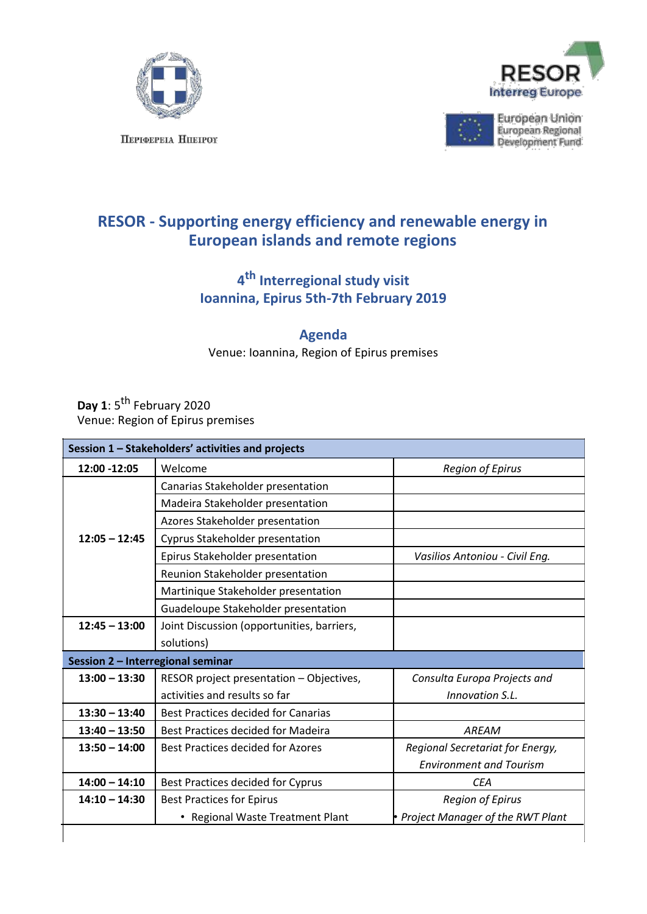





European Union<br>European Regional<br>Development Fund

## **RESOR - Supporting energy efficiency and renewable energy in European islands and remote regions**

## **4 th Interregional study visit Ioannina, Epirus 5th-7th February 2019**

## **Agenda**

Venue: Ioannina, Region of Epirus premises

Day 1: 5<sup>th</sup> February 2020 Venue: Region of Epirus premises

| Session 1 - Stakeholders' activities and projects |                                            |                                    |  |  |
|---------------------------------------------------|--------------------------------------------|------------------------------------|--|--|
| 12:00 -12:05                                      | Welcome                                    | <b>Region of Epirus</b>            |  |  |
|                                                   | Canarias Stakeholder presentation          |                                    |  |  |
|                                                   | Madeira Stakeholder presentation           |                                    |  |  |
|                                                   | Azores Stakeholder presentation            |                                    |  |  |
| $12:05 - 12:45$                                   | Cyprus Stakeholder presentation            |                                    |  |  |
|                                                   | Epirus Stakeholder presentation            | Vasilios Antoniou - Civil Eng.     |  |  |
|                                                   | Reunion Stakeholder presentation           |                                    |  |  |
|                                                   | Martinique Stakeholder presentation        |                                    |  |  |
|                                                   | Guadeloupe Stakeholder presentation        |                                    |  |  |
| $12:45 - 13:00$                                   | Joint Discussion (opportunities, barriers, |                                    |  |  |
|                                                   | solutions)                                 |                                    |  |  |
| Session 2 - Interregional seminar                 |                                            |                                    |  |  |
| $13:00 - 13:30$                                   | RESOR project presentation - Objectives,   | Consulta Europa Projects and       |  |  |
|                                                   | activities and results so far              | Innovation S.L.                    |  |  |
| $13:30 - 13:40$                                   | <b>Best Practices decided for Canarias</b> |                                    |  |  |
| $13:40 - 13:50$                                   | Best Practices decided for Madeira         | AREAM                              |  |  |
| $13:50 - 14:00$                                   | <b>Best Practices decided for Azores</b>   | Regional Secretariat for Energy,   |  |  |
|                                                   |                                            | <b>Environment and Tourism</b>     |  |  |
| $14:00 - 14:10$                                   | Best Practices decided for Cyprus          | <b>CEA</b>                         |  |  |
| $14:10 - 14:30$                                   | <b>Best Practices for Epirus</b>           | <b>Region of Epirus</b>            |  |  |
|                                                   | • Regional Waste Treatment Plant           | • Project Manager of the RWT Plant |  |  |
|                                                   |                                            |                                    |  |  |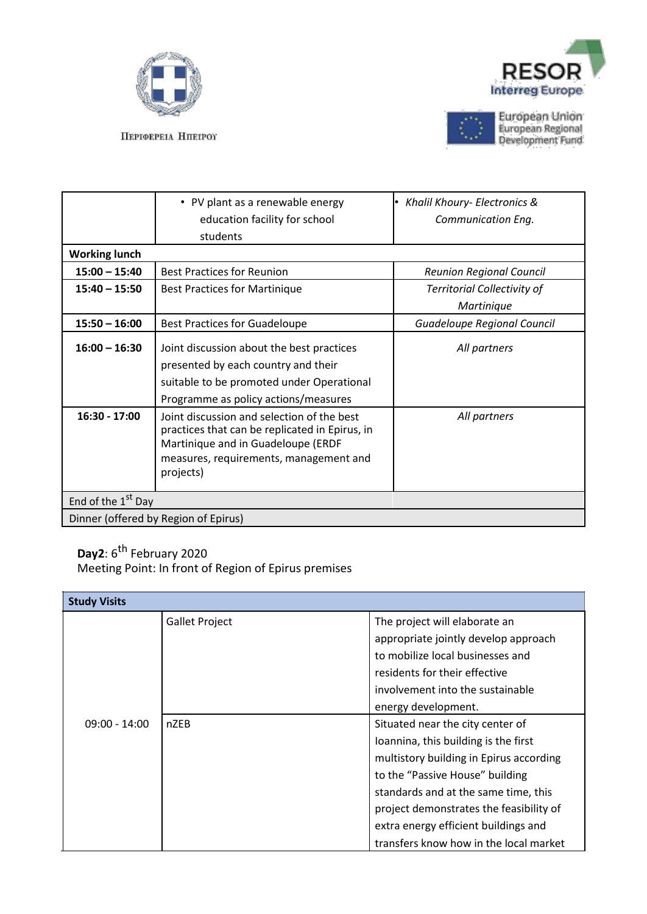







European Union<br>European Regional<br>Development Fund

|                                      | • PV plant as a renewable energy<br>education facility for school<br>students                                                                                                             | • Khalil Khoury- Electronics &<br><b>Communication Eng.</b> |  |  |
|--------------------------------------|-------------------------------------------------------------------------------------------------------------------------------------------------------------------------------------------|-------------------------------------------------------------|--|--|
| <b>Working lunch</b>                 |                                                                                                                                                                                           |                                                             |  |  |
| $15:00 - 15:40$                      | <b>Best Practices for Reunion</b>                                                                                                                                                         | <b>Reunion Regional Council</b>                             |  |  |
| $15:40 - 15:50$                      | <b>Best Practices for Martinique</b>                                                                                                                                                      | <b>Territorial Collectivity of</b><br>Martinique            |  |  |
| $15:50 - 16:00$                      | <b>Best Practices for Guadeloupe</b>                                                                                                                                                      | Guadeloupe Regional Council                                 |  |  |
| $16:00 - 16:30$                      | Joint discussion about the best practices<br>presented by each country and their<br>suitable to be promoted under Operational<br>Programme as policy actions/measures                     | All partners                                                |  |  |
| 16:30 - 17:00                        | Joint discussion and selection of the best<br>practices that can be replicated in Epirus, in<br>Martinique and in Guadeloupe (ERDF<br>measures, requirements, management and<br>projects) | All partners                                                |  |  |
| End of the 1 <sup>st</sup> Day       |                                                                                                                                                                                           |                                                             |  |  |
| Dinner (offered by Region of Epirus) |                                                                                                                                                                                           |                                                             |  |  |

## **Day2**: 6th February 2020

Meeting Point: In front of Region of Epirus premises

| <b>Study Visits</b> |                       |                                                                                                                                                                                                                                                                                                                             |  |  |
|---------------------|-----------------------|-----------------------------------------------------------------------------------------------------------------------------------------------------------------------------------------------------------------------------------------------------------------------------------------------------------------------------|--|--|
|                     | <b>Gallet Project</b> | The project will elaborate an<br>appropriate jointly develop approach<br>to mobilize local businesses and                                                                                                                                                                                                                   |  |  |
|                     |                       | residents for their effective<br>involvement into the sustainable<br>energy development.                                                                                                                                                                                                                                    |  |  |
| $09:00 - 14:00$     | <b>nZEB</b>           | Situated near the city center of<br>Ioannina, this building is the first<br>multistory building in Epirus according<br>to the "Passive House" building<br>standards and at the same time, this<br>project demonstrates the feasibility of<br>extra energy efficient buildings and<br>transfers know how in the local market |  |  |